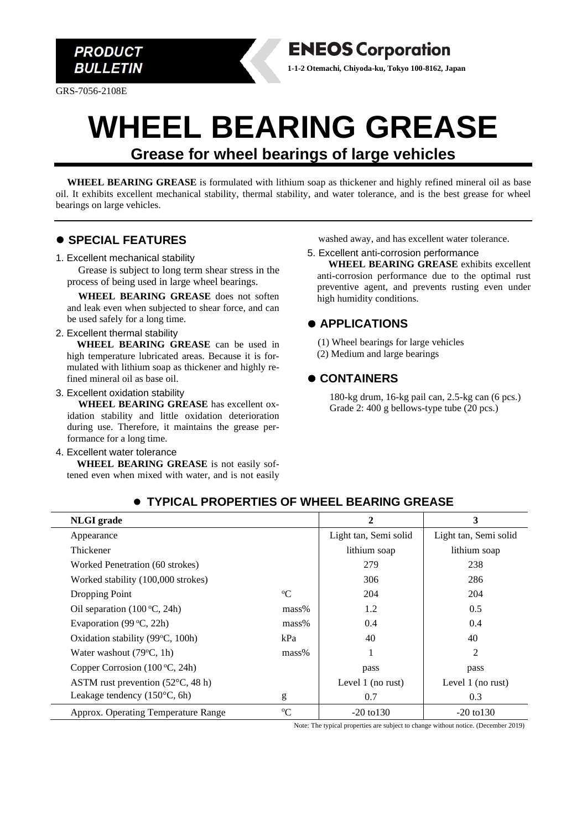

GRS-7056-2108E

# **WHEEL BEARING GREASE Grease for wheel bearings of large vehicles**

**WHEEL BEARING GREASE** is formulated with lithium soap as thickener and highly refined mineral oil as base oil. It exhibits excellent mechanical stability, thermal stability, and water tolerance, and is the best grease for wheel bearings on large vehicles.

## ⚫ **SPECIAL FEATURES**

#### 1. Excellent mechanical stability

Grease is subject to long term shear stress in the process of being used in large wheel bearings.

**WHEEL BEARING GREASE** does not soften and leak even when subjected to shear force, and can be used safely for a long time.

#### 2. Excellent thermal stability

**WHEEL BEARING GREASE** can be used in high temperature lubricated areas. Because it is formulated with lithium soap as thickener and highly refined mineral oil as base oil.

3. Excellent oxidation stability

**WHEEL BEARING GREASE** has excellent oxidation stability and little oxidation deterioration during use. Therefore, it maintains the grease performance for a long time.

#### 4. Excellent water tolerance

**WHEEL BEARING GREASE** is not easily softened even when mixed with water, and is not easily washed away, and has excellent water tolerance.

5. Excellent anti-corrosion performance **WHEEL BEARING GREASE** exhibits excellent anti-corrosion performance due to the optimal rust preventive agent, and prevents rusting even under high humidity conditions.

## ⚫ **APPLICATIONS**

**ENEOS Corporation 1-1-2 Otemachi, Chiyoda-ku, Tokyo 100-8162, Japan**

> (1) Wheel bearings for large vehicles (2) Medium and large bearings

#### ⚫ **CONTAINERS**

180-kg drum, 16-kg pail can, 2.5-kg can (6 pcs.) Grade 2: 400 g bellows-type tube (20 pcs.)

| <b>NLGI</b> grade                          |             | $\mathbf{2}$          | 3                     |
|--------------------------------------------|-------------|-----------------------|-----------------------|
| Appearance                                 |             | Light tan, Semi solid | Light tan, Semi solid |
| Thickener                                  |             | lithium soap          | lithium soap          |
| Worked Penetration (60 strokes)            |             | 279                   | 238                   |
| Worked stability (100,000 strokes)         |             | 306                   | 286                   |
| Dropping Point                             | $\rm ^{o}C$ | 204                   | 204                   |
| Oil separation $(100\degree C, 24h)$       | mass%       | 1.2                   | 0.5                   |
| Evaporation $(99 °C, 22h)$                 | mass%       | 0.4                   | 0.4                   |
| Oxidation stability (99°C, 100h)           | kPa         | 40                    | 40                    |
| Water washout $(79^{\circ}C, 1h)$          | $mass\%$    | 1                     | 2                     |
| Copper Corrosion $(100 °C, 24h)$           |             | pass                  | pass                  |
| ASTM rust prevention $(52^{\circ}C, 48 h)$ |             | Level $1$ (no rust)   | Level $1$ (no rust)   |
| Leakage tendency $(150^{\circ}C, 6h)$      | g           | 0.7                   | 0.3                   |
| Approx. Operating Temperature Range        | $\rm ^{o}C$ | $-20 \text{ to } 130$ | $-20$ to $130$        |

#### ⚫ **TYPICAL PROPERTIES OF WHEEL BEARING GREASE**

Note: The typical properties are subject to change without notice. (December 2019)